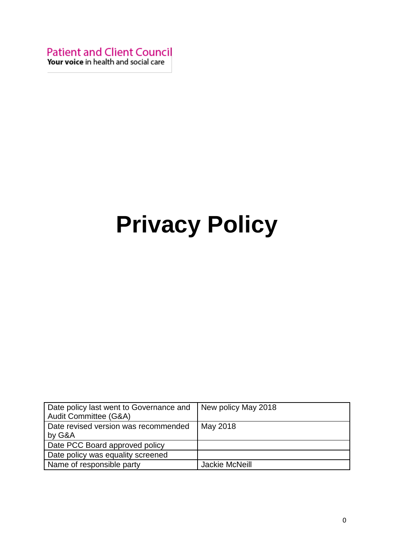**Patient and Client Council** Your voice in health and social care

# **Privacy Policy**

| Date policy last went to Governance and | New policy May 2018 |
|-----------------------------------------|---------------------|
| Audit Committee (G&A)                   |                     |
| Date revised version was recommended    | May 2018            |
| by G&A                                  |                     |
| Date PCC Board approved policy          |                     |
| Date policy was equality screened       |                     |
| Name of responsible party               | Jackie McNeill      |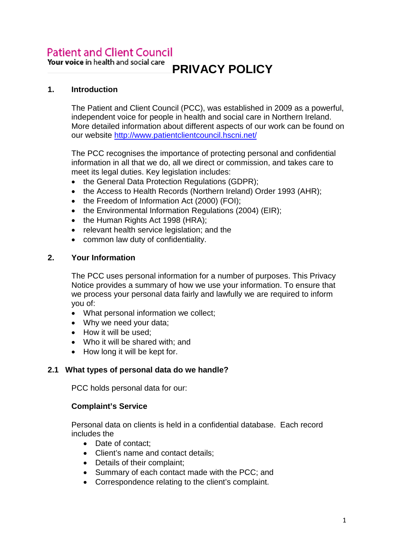# **Patient and Client Council**

Your voice in health and social care

#### **1. Introduction**

The Patient and Client Council (PCC), was established in 2009 as a powerful, independent voice for people in health and social care in Northern Ireland. More detailed information about different aspects of our work can be found on our website<http://www.patientclientcouncil.hscni.net/>

The PCC recognises the importance of protecting personal and confidential information in all that we do, all we direct or commission, and takes care to meet its legal duties. Key legislation includes:

- the General Data Protection Regulations (GDPR);
- the Access to Health Records (Northern Ireland) Order 1993 (AHR);
- the Freedom of Information Act (2000) (FOI);
- the Environmental Information Regulations (2004) (EIR);
- the Human Rights Act 1998 (HRA);
- relevant health service legislation; and the
- common law duty of confidentiality.

#### **2. Your Information**

The PCC uses personal information for a number of purposes. This Privacy Notice provides a summary of how we use your information. To ensure that we process your personal data fairly and lawfully we are required to inform you of:

- What personal information we collect;
- Why we need your data;
- How it will be used:
- Who it will be shared with; and
- How long it will be kept for.

### **2.1 What types of personal data do we handle?**

PCC holds personal data for our:

#### **Complaint's Service**

Personal data on clients is held in a confidential database. Each record includes the

- Date of contact:
- Client's name and contact details;
- Details of their complaint;
- Summary of each contact made with the PCC; and
- Correspondence relating to the client's complaint.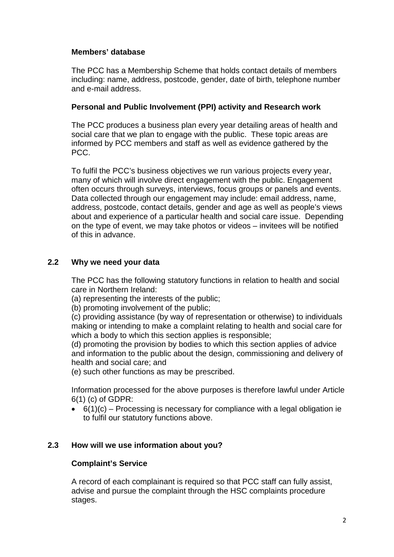#### **Members' database**

The PCC has a Membership Scheme that holds contact details of members including: name, address, postcode, gender, date of birth, telephone number and e-mail address.

#### **Personal and Public Involvement (PPI) activity and Research work**

The PCC produces a business plan every year detailing areas of health and social care that we plan to engage with the public. These topic areas are informed by PCC members and staff as well as evidence gathered by the PCC.

To fulfil the PCC's business objectives we run various projects every year, many of which will involve direct engagement with the public. Engagement often occurs through surveys, interviews, focus groups or panels and events. Data collected through our engagement may include: email address, name, address, postcode, contact details, gender and age as well as people's views about and experience of a particular health and social care issue. Depending on the type of event, we may take photos or videos – invitees will be notified of this in advance.

#### **2.2 Why we need your data**

The PCC has the following statutory functions in relation to health and social care in Northern Ireland:

(a) representing the interests of the public;

(b) promoting involvement of the public;

(c) providing assistance (by way of representation or otherwise) to individuals making or intending to make a complaint relating to health and social care for which a body to which this section applies is responsible;

(d) promoting the provision by bodies to which this section applies of advice and information to the public about the design, commissioning and delivery of health and social care; and

(e) such other functions as may be prescribed.

Information processed for the above purposes is therefore lawful under Article 6(1) (c) of GDPR:

 $\bullet$  6(1)(c) – Processing is necessary for compliance with a legal obligation ie to fulfil our statutory functions above.

### **2.3 How will we use information about you?**

#### **Complaint's Service**

A record of each complainant is required so that PCC staff can fully assist, advise and pursue the complaint through the HSC complaints procedure stages.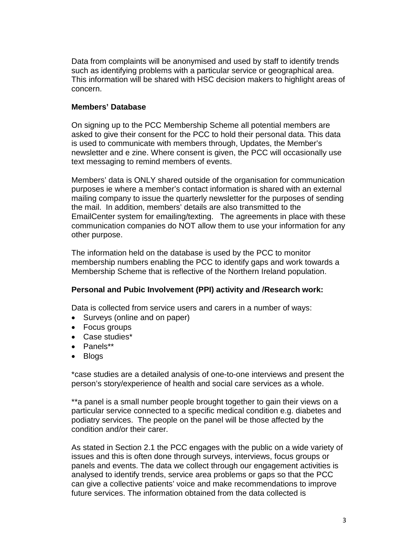Data from complaints will be anonymised and used by staff to identify trends such as identifying problems with a particular service or geographical area. This information will be shared with HSC decision makers to highlight areas of concern.

#### **Members' Database**

On signing up to the PCC Membership Scheme all potential members are asked to give their consent for the PCC to hold their personal data. This data is used to communicate with members through, Updates, the Member's newsletter and e zine. Where consent is given, the PCC will occasionally use text messaging to remind members of events.

Members' data is ONLY shared outside of the organisation for communication purposes ie where a member's contact information is shared with an external mailing company to issue the quarterly newsletter for the purposes of sending the mail. In addition, members' details are also transmitted to the EmailCenter system for emailing/texting. The agreements in place with these communication companies do NOT allow them to use your information for any other purpose.

The information held on the database is used by the PCC to monitor membership numbers enabling the PCC to identify gaps and work towards a Membership Scheme that is reflective of the Northern Ireland population.

#### **Personal and Pubic Involvement (PPI) activity and /Research work:**

Data is collected from service users and carers in a number of ways:

- Surveys (online and on paper)
- Focus groups
- Case studies\*
- Panels\*\*
- Blogs

\*case studies are a detailed analysis of one-to-one interviews and present the person's story/experience of health and social care services as a whole.

\*\*a panel is a small number people brought together to gain their views on a particular service connected to a specific medical condition e.g. diabetes and podiatry services. The people on the panel will be those affected by the condition and/or their carer.

As stated in Section 2.1 the PCC engages with the public on a wide variety of issues and this is often done through surveys, interviews, focus groups or panels and events. The data we collect through our engagement activities is analysed to identify trends, service area problems or gaps so that the PCC can give a collective patients' voice and make recommendations to improve future services. The information obtained from the data collected is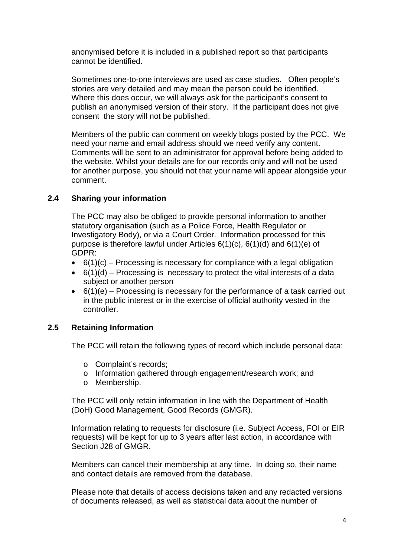anonymised before it is included in a published report so that participants cannot be identified.

Sometimes one-to-one interviews are used as case studies. Often people's stories are very detailed and may mean the person could be identified. Where this does occur, we will always ask for the participant's consent to publish an anonymised version of their story. If the participant does not give consent the story will not be published.

Members of the public can comment on weekly blogs posted by the PCC. We need your name and email address should we need verify any content. Comments will be sent to an administrator for approval before being added to the website. Whilst your details are for our records only and will not be used for another purpose, you should not that your name will appear alongside your comment.

#### **2.4 Sharing your information**

The PCC may also be obliged to provide personal information to another statutory organisation (such as a Police Force, Health Regulator or Investigatory Body), or via a Court Order. Information processed for this purpose is therefore lawful under Articles 6(1)(c), 6(1)(d) and 6(1)(e) of GDPR:

- $\bullet$  6(1)(c) Processing is necessary for compliance with a legal obligation
- $\bullet$  6(1)(d) Processing is necessary to protect the vital interests of a data subject or another person
- 6(1)(e) Processing is necessary for the performance of a task carried out in the public interest or in the exercise of official authority vested in the controller.

#### **2.5 Retaining Information**

The PCC will retain the following types of record which include personal data:

- o Complaint's records;
- o Information gathered through engagement/research work; and
- o Membership.

The PCC will only retain information in line with the Department of Health (DoH) Good Management, Good Records (GMGR).

Information relating to requests for disclosure (i.e. Subject Access, FOI or EIR requests) will be kept for up to 3 years after last action, in accordance with Section J28 of GMGR

Members can cancel their membership at any time. In doing so, their name and contact details are removed from the database.

Please note that details of access decisions taken and any redacted versions of documents released, as well as statistical data about the number of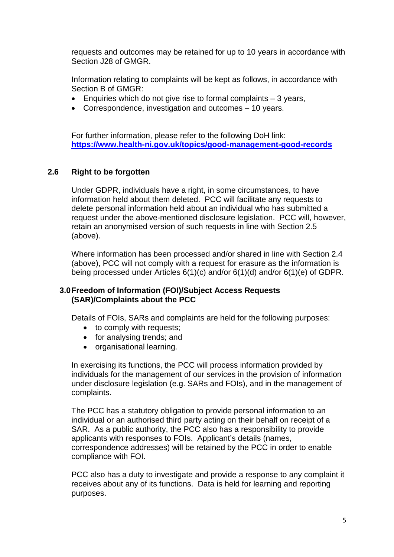requests and outcomes may be retained for up to 10 years in accordance with Section J28 of GMGR.

Information relating to complaints will be kept as follows, in accordance with Section B of GMGR:

- Enquiries which do not give rise to formal complaints  $-3$  years,
- Correspondence, investigation and outcomes 10 years.

For further information, please refer to the following DoH link: **<https://www.health-ni.gov.uk/topics/good-management-good-records>**

#### **2.6 Right to be forgotten**

Under GDPR, individuals have a right, in some circumstances, to have information held about them deleted. PCC will facilitate any requests to delete personal information held about an individual who has submitted a request under the above-mentioned disclosure legislation. PCC will, however, retain an anonymised version of such requests in line with Section 2.5 (above).

Where information has been processed and/or shared in line with Section 2.4 (above), PCC will not comply with a request for erasure as the information is being processed under Articles 6(1)(c) and/or 6(1)(d) and/or 6(1)(e) of GDPR.

#### **3.0Freedom of Information (FOI)/Subject Access Requests (SAR)/Complaints about the PCC**

Details of FOIs, SARs and complaints are held for the following purposes:

- to comply with requests;
- for analysing trends; and
- organisational learning.

In exercising its functions, the PCC will process information provided by individuals for the management of our services in the provision of information under disclosure legislation (e.g. SARs and FOIs), and in the management of complaints.

The PCC has a statutory obligation to provide personal information to an individual or an authorised third party acting on their behalf on receipt of a SAR. As a public authority, the PCC also has a responsibility to provide applicants with responses to FOIs. Applicant's details (names, correspondence addresses) will be retained by the PCC in order to enable compliance with FOI.

PCC also has a duty to investigate and provide a response to any complaint it receives about any of its functions. Data is held for learning and reporting purposes.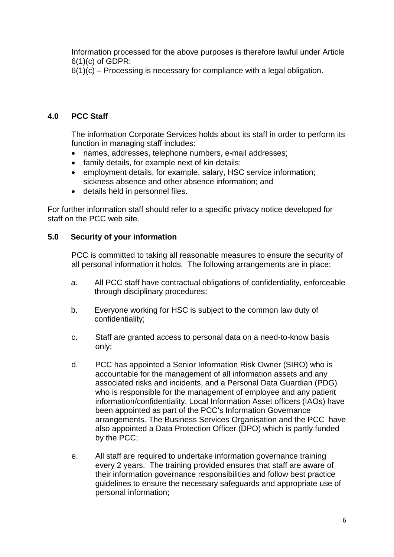Information processed for the above purposes is therefore lawful under Article  $6(1)(c)$  of GDPR:

 $6(1)(c)$  – Processing is necessary for compliance with a legal obligation.

### **4.0 PCC Staff**

The information Corporate Services holds about its staff in order to perform its function in managing staff includes:

- names, addresses, telephone numbers, e-mail addresses;
- family details, for example next of kin details;
- employment details, for example, salary, HSC service information: sickness absence and other absence information; and
- details held in personnel files.

For further information staff should refer to a specific privacy notice developed for staff on the PCC web site.

#### **5.0 Security of your information**

PCC is committed to taking all reasonable measures to ensure the security of all personal information it holds. The following arrangements are in place:

- a. All PCC staff have contractual obligations of confidentiality, enforceable through disciplinary procedures;
- b. Everyone working for HSC is subject to the common law duty of confidentiality;
- c. Staff are granted access to personal data on a need-to-know basis only;
- d. PCC has appointed a Senior Information Risk Owner (SIRO) who is accountable for the management of all information assets and any associated risks and incidents, and a Personal Data Guardian (PDG) who is responsible for the management of employee and any patient information/confidentiality. Local Information Asset officers (IAOs) have been appointed as part of the PCC's Information Governance arrangements. The Business Services Organisation and the PCC have also appointed a Data Protection Officer (DPO) which is partly funded by the PCC;
- e. All staff are required to undertake information governance training every 2 years. The training provided ensures that staff are aware of their information governance responsibilities and follow best practice guidelines to ensure the necessary safeguards and appropriate use of personal information;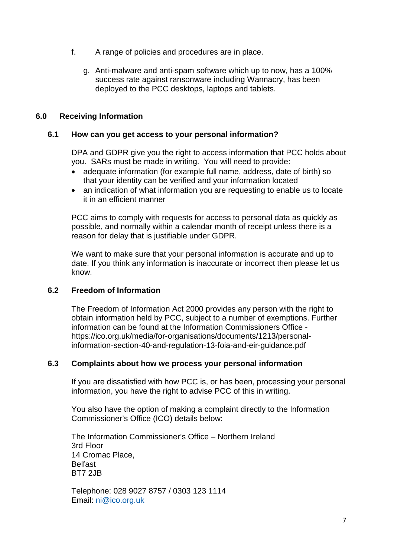- f. A range of policies and procedures are in place.
	- g. Anti-malware and anti-spam software which up to now, has a 100% success rate against ransonware including Wannacry, has been deployed to the PCC desktops, laptops and tablets.

#### **6.0 Receiving Information**

#### **6.1 How can you get access to your personal information?**

DPA and GDPR give you the right to access information that PCC holds about you. SARs must be made in writing. You will need to provide:

- adequate information (for example full name, address, date of birth) so that your identity can be verified and your information located
- an indication of what information you are requesting to enable us to locate it in an efficient manner

PCC aims to comply with requests for access to personal data as quickly as possible, and normally within a calendar month of receipt unless there is a reason for delay that is justifiable under GDPR.

We want to make sure that your personal information is accurate and up to date. If you think any information is inaccurate or incorrect then please let us know.

#### **6.2 Freedom of Information**

The Freedom of Information Act 2000 provides any person with the right to obtain information held by PCC, subject to a number of exemptions. Further information can be found at the Information Commissioners Office https://ico.org.uk/media/for-organisations/documents/1213/personalinformation-section-40-and-regulation-13-foia-and-eir-guidance.pdf

#### **6.3 Complaints about how we process your personal information**

If you are dissatisfied with how PCC is, or has been, processing your personal information, you have the right to advise PCC of this in writing.

You also have the option of making a complaint directly to the Information Commissioner's Office (ICO) details below:

The Information Commissioner's Office – Northern Ireland 3rd Floor 14 Cromac Place, Belfast BT7 2JB

Telephone: 028 9027 8757 / 0303 123 1114 Email: [ni@ico.org.uk](mailto:ni@ico.org.uk)